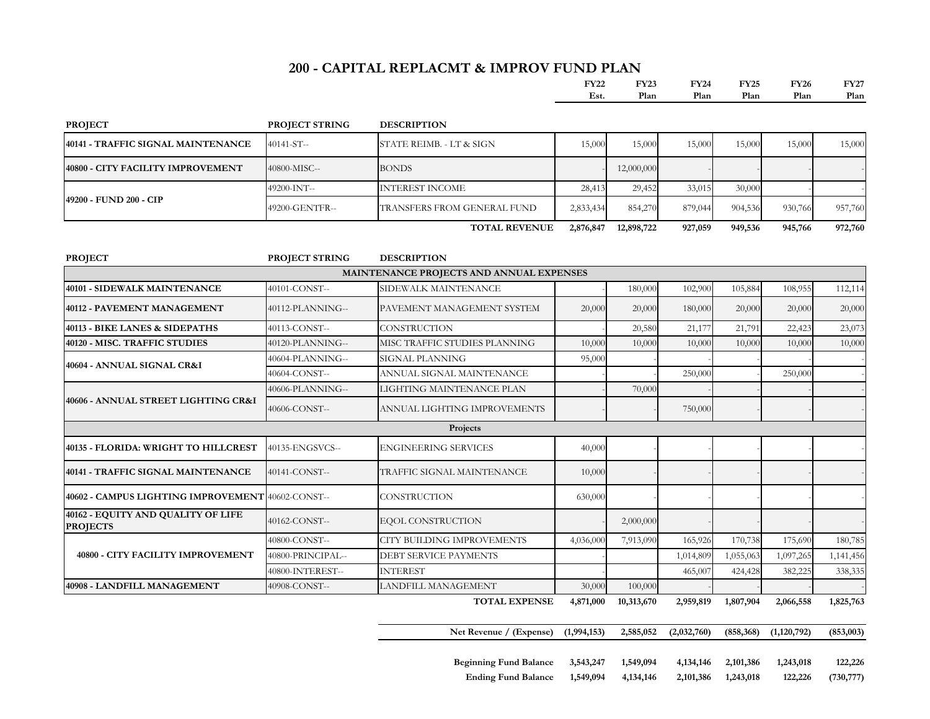#### **200 - CAPITAL REPLACMT & IMPROV FUND PLAN**

|                                                       |                       |                                          | <b>FY22</b><br>Est. | <b>FY23</b><br>Plan | <b>FY24</b><br>Plan | <b>FY25</b><br>Plan | <b>FY26</b><br>Plan | <b>FY27</b><br>Plan |
|-------------------------------------------------------|-----------------------|------------------------------------------|---------------------|---------------------|---------------------|---------------------|---------------------|---------------------|
| <b>PROJECT</b>                                        | <b>PROJECT STRING</b> | <b>DESCRIPTION</b>                       |                     |                     |                     |                     |                     |                     |
| 40141 - TRAFFIC SIGNAL MAINTENANCE                    | 40141-ST--            | STATE REIMB. - LT & SIGN                 | 15,000              | 15,000              | 15,000              | 15,000              | 15,000              | 15,000              |
| 40800 - CITY FACILITY IMPROVEMENT                     | 40800-MISC--          | <b>BONDS</b>                             |                     | 12,000,000          |                     |                     |                     |                     |
|                                                       | 49200-INT--           | <b>INTEREST INCOME</b>                   | 28,413              | 29,452              | 33,015              | 30,000              |                     |                     |
| 49200 - FUND 200 - CIP                                | 49200-GENTFR--        | TRANSFERS FROM GENERAL FUND              | 2,833,434           | 854,270             | 879,044             | 904,536             | 930,766             | 957,760             |
|                                                       |                       | <b>TOTAL REVENUE</b>                     | 2,876,847           | 12,898,722          | 927,059             | 949,536             | 945,766             | 972,760             |
| <b>PROJECT</b>                                        | PROJECT STRING        | <b>DESCRIPTION</b>                       |                     |                     |                     |                     |                     |                     |
|                                                       |                       | MAINTENANCE PROJECTS AND ANNUAL EXPENSES |                     |                     |                     |                     |                     |                     |
| <b>40101 - SIDEWALK MAINTENANCE</b>                   | 40101-CONST--         | SIDEWALK MAINTENANCE                     |                     | 180,00              | 102,900             | 105,884             | 108,955             | 112,114             |
| <b>40112 - PAVEMENT MANAGEMENT</b>                    | 40112-PLANNING--      | PAVEMENT MANAGEMENT SYSTEM               | 20,000              | 20,000              | 180,000             | 20,000              | 20,000              | 20,000              |
| 40113 - BIKE LANES & SIDEPATHS                        | 40113-CONST--         | <b>CONSTRUCTION</b>                      |                     | 20,580              | 21,177              | 21,791              | 22,423              | 23,073              |
| 40120 - MISC. TRAFFIC STUDIES                         | 40120-PLANNING--      | MISC TRAFFIC STUDIES PLANNING            | 10,000              | 10,00               | 10,000              | 10,000              | 10,000              | 10,000              |
| 40604 - ANNUAL SIGNAL CR&I                            | 40604-PLANNING--      | SIGNAL PLANNING                          | 95,000              |                     |                     |                     |                     |                     |
|                                                       | 40604-CONST--         | ANNUAL SIGNAL MAINTENANCE                |                     |                     | 250,000             |                     | 250,000             |                     |
|                                                       | 40606-PLANNING--      | LIGHTING MAINTENANCE PLAN                |                     | 70,000              |                     |                     |                     |                     |
| 40606 - ANNUAL STREET LIGHTING CR&I                   | 40606-CONST--         | ANNUAL LIGHTING IMPROVEMENTS             |                     |                     | 750,000             |                     |                     |                     |
|                                                       |                       | Projects                                 |                     |                     |                     |                     |                     |                     |
| 40135 - FLORIDA: WRIGHT TO HILLCREST                  | 40135-ENGSVCS--       | <b>ENGINEERING SERVICES</b>              | 40,000              |                     |                     |                     |                     |                     |
| 40141 - TRAFFIC SIGNAL MAINTENANCE                    | 40141-CONST--         | TRAFFIC SIGNAL MAINTENANCE               | 10,000              |                     |                     |                     |                     |                     |
| 40602 - CAMPUS LIGHTING IMPROVEMENT 40602-CONST--     |                       | CONSTRUCTION                             | 630,000             |                     |                     |                     |                     |                     |
| 40162 - EQUITY AND QUALITY OF LIFE<br><b>PROJECTS</b> | 40162-CONST--         | <b>EQOL CONSTRUCTION</b>                 |                     | 2,000,000           |                     |                     |                     |                     |
|                                                       | 40800-CONST--         | <b>CITY BUILDING IMPROVEMENTS</b>        | 4,036,000           | 7,913,090           | 165,926             | 170,738             | 175,690             | 180,785             |

**40908 - LANDFILL MANAGEMENT** 40908-CONST-- LANDFILL MANAGEMENT 30,000 100,000

**40800 - CITY FACILITY IMPROVEMENT**

**Beginning Fund Balance 3,543,247 1,549,094 4,134,146 2,101,386 1,243,018 122,226 Ending Fund Balance 1,549,094 4,134,146 2,101,386 1,243,018 122,226 (730,777)**

**Net Revenue / (Expense) (1,994,153) 2,585,052 (2,032,760) (858,368) (1,120,792) (853,003)**

**TOTAL EXPENSE 4,871,000 10,313,670 2,959,819 1,807,904 2,066,558 1,825,763**

40800-PRINCIPAL-- DEBT SERVICE PAYMENTS - 1,014,809 1,055,063 1,097,265 1,141,456 40800-INTEREST-- INTEREST 12000-INTEREST 12000-INTEREST 138,335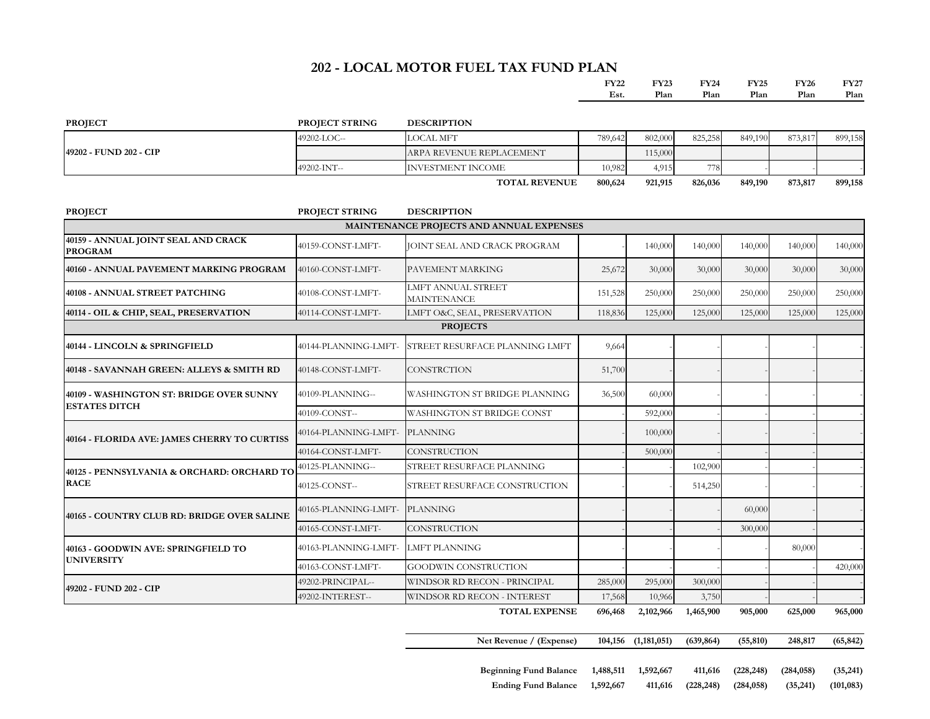### **202 - LOCAL MOTOR FUEL TAX FUND PLAN**

| EV22 | <b>FY23</b> | <b>FY24</b> | <b>FY25</b> | TY 26 | <b>FY27</b> |
|------|-------------|-------------|-------------|-------|-------------|
| Est. | Plan        | Plan        | Plan        | Plan  | Plan        |

| <b>PROJECT</b>         | <b>PROJECT STRING</b> | <b>DESCRIPTION</b>       |         |         |         |         |         |         |
|------------------------|-----------------------|--------------------------|---------|---------|---------|---------|---------|---------|
|                        | 49202-LOC--           | LOCAL MFT                | 789,642 | 802,000 | 825,258 | 849,190 | 873,817 | 899,158 |
| 49202 - FUND 202 - CIP |                       | ARPA REVENUE REPLACEMENT |         | 115,000 |         |         |         |         |
|                        | 49202-INT--           | INVESTMENT INCOME        | 10.982  | 4,915   | 778.    |         |         |         |
|                        |                       | <b>TOTAL REVENUE</b>     | 800,624 | 921,915 | 826,036 | 849,190 | 873,817 | 899,158 |

| <b>PROJECT</b>                                           | PROJECT STRING       | <b>DESCRIPTION</b>                              |         |           |           |         |         |         |
|----------------------------------------------------------|----------------------|-------------------------------------------------|---------|-----------|-----------|---------|---------|---------|
|                                                          |                      | MAINTENANCE PROJECTS AND ANNUAL EXPENSES        |         |           |           |         |         |         |
| 40159 - ANNUAL JOINT SEAL AND CRACK<br><b>PROGRAM</b>    | 40159-CONST-LMFT-    | JOINT SEAL AND CRACK PROGRAM                    |         | 140,000   | 140,000   | 140,000 | 140,000 | 140,000 |
| 40160 - ANNUAL PAVEMENT MARKING PROGRAM                  | 40160-CONST-LMFT-    | PAVEMENT MARKING                                | 25,672  | 30,000    | 30,000    | 30,000  | 30,000  | 30,000  |
| 40108 - ANNUAL STREET PATCHING                           | 40108-CONST-LMFT-    | <b>LMFT ANNUAL STREET</b><br><b>MAINTENANCE</b> | 151,528 | 250,000   | 250,000   | 250,000 | 250,000 | 250,000 |
| 40114 - OIL & CHIP, SEAL, PRESERVATION                   | 40114-CONST-LMFT-    | LMFT O&C, SEAL, PRESERVATION                    | 118,836 | 125,000   | 125,000   | 125,000 | 125,000 | 125,000 |
|                                                          |                      | <b>PROJECTS</b>                                 |         |           |           |         |         |         |
| 40144 - LINCOLN & SPRINGFIELD                            | 40144-PLANNING-LMFT- | STREET RESURFACE PLANNING LMFT                  | 9,664   |           |           |         |         |         |
| 40148 - SAVANNAH GREEN: ALLEYS & SMITH RD                | 40148-CONST-LMFT-    | <b>CONSTRCTION</b>                              | 51,700  |           |           |         |         |         |
| 40109 - WASHINGTON ST: BRIDGE OVER SUNNY                 | 40109-PLANNING--     | WASHINGTON ST BRIDGE PLANNING                   | 36,500  | 60,000    |           |         |         |         |
| <b>ESTATES DITCH</b>                                     | 40109-CONST--        | WASHINGTON ST BRIDGE CONST                      |         | 592,000   |           |         |         |         |
| 40164 - FLORIDA AVE: JAMES CHERRY TO CURTISS             | 40164-PLANNING-LMFT- | <b>PLANNING</b>                                 |         | 100,000   |           |         |         |         |
|                                                          | 40164-CONST-LMFT-    | <b>CONSTRUCTION</b>                             |         | 500,000   |           |         |         |         |
| 40125 - PENNSYLVANIA & ORCHARD: ORCHARD TO               | 40125-PLANNING--     | STREET RESURFACE PLANNING                       |         |           | 102,900   |         |         |         |
| <b>RACE</b>                                              | 40125-CONST--        | STREET RESURFACE CONSTRUCTION                   |         |           | 514,250   |         |         |         |
| 40165 - COUNTRY CLUB RD: BRIDGE OVER SALINE              | 40165-PLANNING-LMFT- | <b>PLANNING</b>                                 |         |           |           | 60,000  |         |         |
|                                                          | 40165-CONST-LMFT-    | <b>CONSTRUCTION</b>                             |         |           |           | 300,000 |         |         |
| 40163 - GOODWIN AVE: SPRINGFIELD TO<br><b>UNIVERSITY</b> | 40163-PLANNING-LMFT- | <b>LMFT PLANNING</b>                            |         |           |           |         | 80,000  |         |
|                                                          | 40163-CONST-LMFT-    | GOODWIN CONSTRUCTION                            |         |           |           |         |         | 420,000 |
| 49202 - FUND 202 - CIP                                   | 49202-PRINCIPAL--    | WINDSOR RD RECON - PRINCIPAL                    | 285,000 | 295,000   | 300,000   |         |         |         |
|                                                          | 49202-INTEREST--     | WINDSOR RD RECON - INTEREST                     | 17,568  | 10,966    | 3,750     |         |         |         |
|                                                          |                      | <b>TOTAL EXPENSE</b>                            | 696,468 | 2,102,966 | 1,465,900 | 905,000 | 625,000 | 965,000 |

**Net Revenue / (Expense) 104,156 (1,181,051) (639,864) (55,810) 248,817 (65,842)**

**Beginning Fund Balance 1,488,511 1,592,667 411,616 (228,248) (284,058) (35,241) Ending Fund Balance 1,592,667 411,616 (228,248) (284,058) (35,241) (101,083)**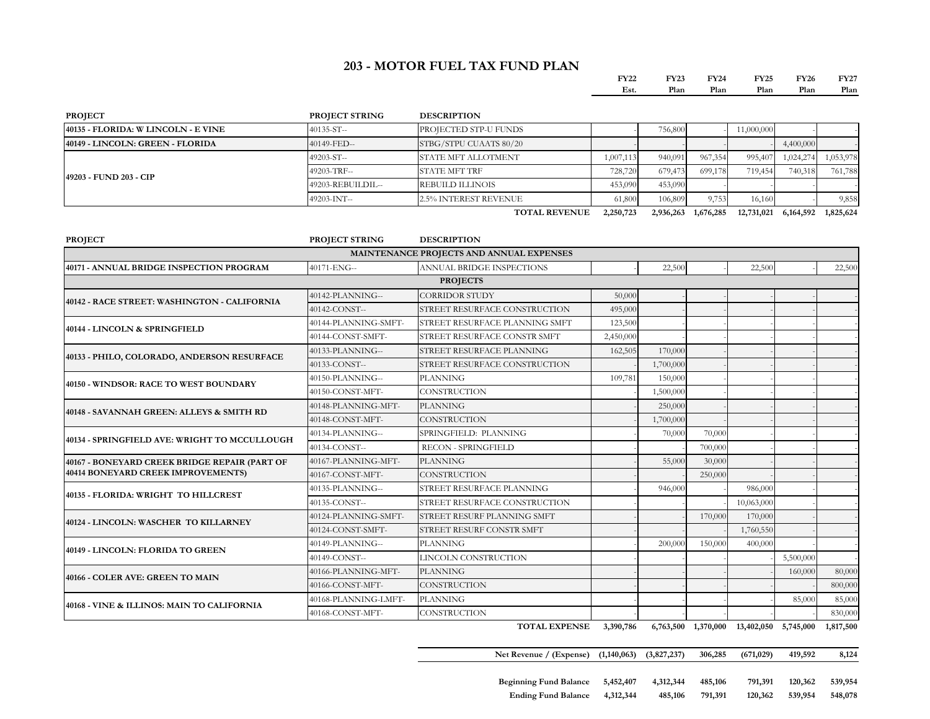#### **203 - MOTOR FUEL TAX FUND PLAN**

| FY22 | <b>FY23</b> | FY24 | <b>FY25</b> | <b>FY26</b> | FY27 |
|------|-------------|------|-------------|-------------|------|
| Est. | Plan        | Plan | Plan        | Plan        | Plan |

| <b>PROJECT</b>                      | <b>PROJECT STRING</b> | <b>DESCRIPTION</b>           |                |         |                      |            |           |                                      |
|-------------------------------------|-----------------------|------------------------------|----------------|---------|----------------------|------------|-----------|--------------------------------------|
| 40135 - FLORIDA: W LINCOLN - E VINE | $40135 - ST -$        | <b>PROJECTED STP-U FUNDS</b> |                | 756,800 |                      | 11,000,000 |           |                                      |
| 40149 - LINCOLN: GREEN - FLORIDA    | 40149-FED--           | STBG/STPU CUAATS 80/20       |                |         |                      |            | 4,400,000 |                                      |
|                                     | $49203 - ST -$        | <b>STATE MFT ALLOTMENT</b>   | 1,007,113      | 940,091 | 967,354              | 995,407    | 1.024.274 | 1,053,978                            |
| 49203 - FUND 203 - CIP              | 49203-TRF--           | <b>STATE MFT TRF</b>         | 728,720        | 679,473 | 699,178              | 719.4541   | 740.318   | 761,788                              |
|                                     | 49203-REBUILDIL--     | <b>REBUILD ILLINOIS</b>      | 453,090        | 453,090 |                      |            |           |                                      |
|                                     | 49203-INT--           | <b>2.5% INTEREST REVENUE</b> | 61,800         | 106,809 | 9,753                | 16.160     |           | 9,858                                |
|                                     |                       | <b>TOTHI BEITBILD</b>        | $0.250$ $0.22$ |         | $0.025022$ $0.07502$ |            |           | $10.734.004$ $2.424.702$ $4.025.624$ |

**TOTAL REVENUE 2,250,723 2,936,263 1,676,285 12,731,021 6,164,592 1,825,624**

| <b>PROJECT</b>                                | <b>PROJECT STRING</b> | <b>DESCRIPTION</b>                       |           |           |         |            |           |         |
|-----------------------------------------------|-----------------------|------------------------------------------|-----------|-----------|---------|------------|-----------|---------|
|                                               |                       | MAINTENANCE PROJECTS AND ANNUAL EXPENSES |           |           |         |            |           |         |
| 40171 - ANNUAL BRIDGE INSPECTION PROGRAM      | 40171-ENG--           | ANNUAL BRIDGE INSPECTIONS                |           | 22,500    |         | 22,500     |           | 22,500  |
|                                               |                       | <b>PROJECTS</b>                          |           |           |         |            |           |         |
| 40142 - RACE STREET: WASHINGTON - CALIFORNIA  | 40142-PLANNING--      | <b>CORRIDOR STUDY</b>                    | 50,000    |           |         |            |           |         |
|                                               | 40142-CONST--         | STREET RESURFACE CONSTRUCTION            | 495,000   |           |         |            |           |         |
| 40144 - LINCOLN & SPRINGFIELD                 | 40144-PLANNING-SMFT-  | STREET RESURFACE PLANNING SMFT           | 123,500   |           |         |            |           |         |
|                                               | 40144-CONST-SMFT-     | STREET RESURFACE CONSTR SMFT             | 2,450,000 |           |         |            |           |         |
| 40133 - PHILO, COLORADO, ANDERSON RESURFACE   | 40133-PLANNING--      | STREET RESURFACE PLANNING                | 162,505   | 170,000   |         |            |           |         |
|                                               | 40133-CONST--         | STREET RESURFACE CONSTRUCTION            |           | 1,700,000 |         |            |           |         |
| <b>40150 - WINDSOR: RACE TO WEST BOUNDARY</b> | 40150-PLANNING--      | <b>PLANNING</b>                          | 109,781   | 150,000   |         |            |           |         |
|                                               | 40150-CONST-MFT-      | <b>CONSTRUCTION</b>                      |           | 1,500,000 |         |            |           |         |
| 40148 - SAVANNAH GREEN: ALLEYS & SMITH RD     | 40148-PLANNING-MFT-   | <b>PLANNING</b>                          |           | 250,000   |         |            |           |         |
|                                               | 40148-CONST-MFT-      | <b>CONSTRUCTION</b>                      |           | 1,700,000 |         |            |           |         |
| 40134 - SPRINGFIELD AVE: WRIGHT TO MCCULLOUGH | 40134-PLANNING--      | SPRINGFIELD: PLANNING                    |           | 70,000    | 70,000  |            |           |         |
|                                               | 40134-CONST--         | <b>RECON - SPRINGFIELD</b>               |           |           | 700,000 |            |           |         |
| 40167 - BONEYARD CREEK BRIDGE REPAIR (PART OF | 40167-PLANNING-MFT-   | <b>PLANNING</b>                          |           | 55,000    | 30,000  |            |           |         |
| 40414 BONEYARD CREEK IMPROVEMENTS)            | 40167-CONST-MFT-      | <b>CONSTRUCTION</b>                      |           |           | 250,000 |            |           |         |
| 40135 - FLORIDA: WRIGHT TO HILLCREST          | 40135-PLANNING--      | <b>STREET RESURFACE PLANNING</b>         |           | 946,000   |         | 986,000    |           |         |
|                                               | 40135-CONST--         | STREET RESURFACE CONSTRUCTION            |           |           |         | 10,063,000 |           |         |
| 40124 - LINCOLN: WASCHER TO KILLARNEY         | 40124-PLANNING-SMFT-  | STREET RESURF PLANNING SMFT              |           |           | 170,000 | 170,000    |           |         |
|                                               | 40124-CONST-SMFT-     | STREET RESURF CONSTR SMFT                |           |           |         | 1,760,550  |           |         |
| 40149 - LINCOLN: FLORIDA TO GREEN             | 40149-PLANNING--      | <b>PLANNING</b>                          |           | 200,000   | 150,000 | 400,000    |           |         |
|                                               | 40149-CONST--         | LINCOLN CONSTRUCTION                     |           |           |         |            | 5,500,000 |         |
| 40166 - COLER AVE: GREEN TO MAIN              | 40166-PLANNING-MFT-   | <b>PLANNING</b>                          |           |           |         |            | 160,000   | 80,000  |
|                                               | 40166-CONST-MFT-      | <b>CONSTRUCTION</b>                      |           |           |         |            |           | 800,000 |
| 40168 - VINE & ILLINOS: MAIN TO CALIFORNIA    | 40168-PLANNING-LMFT-  | <b>PLANNING</b>                          |           |           |         |            | 85,000    | 85,000  |
|                                               | 40168-CONST-MFT-      | <b>CONSTRUCTION</b>                      |           |           |         |            |           | 830,000 |

**TOTAL EXPENSE 3,390,786 6,763,500 1,370,000 13,402,050 5,745,000 1,817,500**

**Net Revenue / (Expense) (1,140,063) (3,827,237) 306,285 (671,029) 419,592 8,124**

**Beginning Fund Balance 5,452,407 4,312,344 485,106 791,391 120,362 539,954 Ending Fund Balance 4,312,344 485,106 791,391 120,362 539,954 548,078**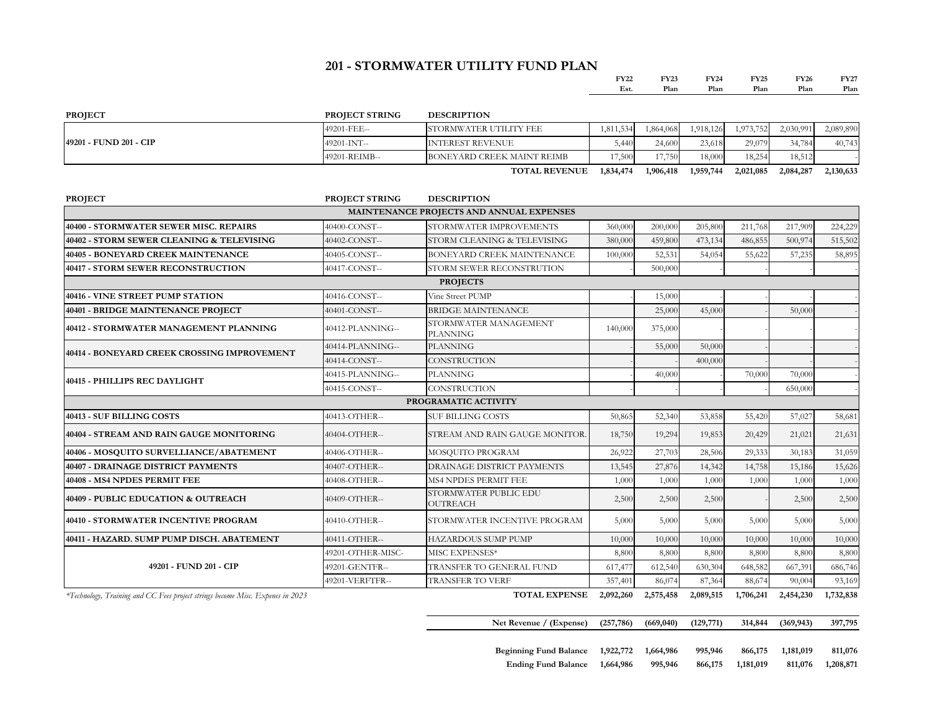### **201 - STORMWATER UTILITY FUND PLAN**

| <b>EV22</b>  | EV22<br>___<br>and the control of | FX24 | FY25<br>and the contract of the contract of | <b>FY26</b> | <b>EV<sub>27</sub></b><br>$\mathbf{1}$ |
|--------------|-----------------------------------|------|---------------------------------------------|-------------|----------------------------------------|
| `od<br>L o L | D<br>Plan                         | 'lan | 'lan                                        | 'lan        | 'lan                                   |

| <b>PROJECT</b>         | <b>PROJECT STRING</b> | <b>DESCRIPTION</b>         |           |                 |           |           |           |           |
|------------------------|-----------------------|----------------------------|-----------|-----------------|-----------|-----------|-----------|-----------|
|                        | 49201-FEE--           | STORMWATER UTILITY FEE     | 1.811.534 | .864.068        | 1.918.126 | 1.973.752 | 2,030,991 | 2,089,890 |
| 49201 - FUND 201 - CIP | 49201-INT--           | <b>INTEREST REVENUE</b>    |           | 24,600<br>5,440 | 23.618    | 29,079    | 34.784    | 40,743    |
|                        | 49201-REIMB--         | BONEYARD CREEK MAINT REIMB | 7,500     | 17.750<br>11.13 | 18,000    | 18.254    | 18,512    |           |
|                        |                       | <b>TOTAL REVENUE</b>       | 1,834,474 | 1,906,418       | 1,959,744 | 2,021,085 | 2,084,287 | 2,130,633 |

| <b>PROJECT</b>                                                                 | <b>PROJECT STRING</b> | <b>DESCRIPTION</b>                       |            |           |            |           |            |           |
|--------------------------------------------------------------------------------|-----------------------|------------------------------------------|------------|-----------|------------|-----------|------------|-----------|
|                                                                                |                       | MAINTENANCE PROJECTS AND ANNUAL EXPENSES |            |           |            |           |            |           |
| 40400 - STORMWATER SEWER MISC. REPAIRS                                         | 40400-CONST--         | STORMWATER IMPROVEMENTS                  | 360,000    | 200,000   | 205,800    | 211.768   | 217,909    | 224,229   |
| 40402 - STORM SEWER CLEANING & TELEVISING                                      | 40402-CONST--         | STORM CLEANING & TELEVISING              | 380,000    | 459,800   | 473,134    | 486,855   | 500,974    | 515,502   |
| 40405 - BONEYARD CREEK MAINTENANCE                                             | 40405-CONST--         | BONEYARD CREEK MAINTENANCE               | 100,000    | 52,531    | 54,054     | 55,622    | 57,235     | 58,895    |
| 40417 - STORM SEWER RECONSTRUCTION                                             | 40417-CONST--         | STORM SEWER RECONSTRUTION                |            | 500,000   |            |           |            |           |
|                                                                                |                       | <b>PROJECTS</b>                          |            |           |            |           |            |           |
| 40416 - VINE STREET PUMP STATION                                               | 40416-CONST--         | Vine Street PUMP                         |            | 15,000    |            |           |            |           |
| 40401 - BRIDGE MAINTENANCE PROJECT                                             | 40401-CONST--         | <b>BRIDGE MAINTENANCE</b>                |            | 25,000    | 45,000     |           | 50,000     |           |
| 40412 - STORMWATER MANAGEMENT PLANNING                                         | 40412-PLANNING--      | STORMWATER MANAGEMENT<br><b>PLANNING</b> | 140,000    | 375,000   |            |           |            |           |
| 40414 - BONEYARD CREEK CROSSING IMPROVEMENT                                    | 40414-PLANNING--      | <b>PLANNING</b>                          |            | 55,000    | 50,000     |           |            |           |
|                                                                                | 40414-CONST--         | <b>CONSTRUCTION</b>                      |            |           | 400,000    |           |            |           |
| 40415 - PHILLIPS REC DAYLIGHT                                                  | 40415-PLANNING--      | <b>PLANNING</b>                          |            | 40,000    |            | 70,000    | 70,000     |           |
|                                                                                | 40415-CONST--         | <b>CONSTRUCTION</b>                      |            |           |            |           | 650,000    |           |
|                                                                                |                       | PROGRAMATIC ACTIVITY                     |            |           |            |           |            |           |
| 40413 - SUF BILLING COSTS                                                      | 40413-OTHER--         | <b>SUF BILLING COSTS</b>                 | 50,865     | 52,340    | 53,858     | 55,420    | 57,027     | 58,681    |
| 40404 - STREAM AND RAIN GAUGE MONITORING                                       | 40404-OTHER--         | STREAM AND RAIN GAUGE MONITOR.           | 18,750     | 19,294    | 19,853     | 20,429    | 21,021     | 21,631    |
| 40406 - MOSQUITO SURVELLIANCE/ABATEMENT                                        | 40406-OTHER--         | MOSQUITO PROGRAM                         | 26,922     | 27,703    | 28,506     | 29,333    | 30,183     | 31,059    |
| 40407 - DRAINAGE DISTRICT PAYMENTS                                             | 40407-OTHER--         | DRAINAGE DISTRICT PAYMENTS               | 13,545     | 27,876    | 14,342     | 14,758    | 15,186     | 15,626    |
| 40408 - MS4 NPDES PERMIT FEE                                                   | 40408-OTHER--         | MS4 NPDES PERMIT FEE                     | 1,000      | 1,000     | 1,000      | 1,000     | 1,000      | 1,000     |
| 40409 - PUBLIC EDUCATION & OUTREACH                                            | 40409-OTHER--         | STORMWATER PUBLIC EDU<br>OUTREACH        | 2,500      | 2,500     | 2,500      |           | 2,500      | 2,500     |
| 40410 - STORMWATER INCENTIVE PROGRAM                                           | 40410-OTHER--         | STORMWATER INCENTIVE PROGRAM             | 5,000      | 5,000     | 5,000      | 5,000     | 5,000      | 5,000     |
| 40411 - HAZARD. SUMP PUMP DISCH. ABATEMENT                                     | 40411-OTHER--         | <b>HAZARDOUS SUMP PUMP</b>               | 10,000     | 10,000    | 10,000     | 10,000    | 10,000     | 10,000    |
|                                                                                | 49201-OTHER-MISC-     | MISC EXPENSES*                           | 8,800      | 8,800     | 8,800      | 8,800     | 8,800      | 8,800     |
| 49201 - FUND 201 - CIP                                                         | 49201-GENTFR--        | TRANSFER TO GENERAL FUND                 | 617,477    | 612,540   | 630,304    | 648,582   | 667,391    | 686,746   |
|                                                                                | 49201-VERFTFR--       | <b>TRANSFER TO VERF</b>                  | 357,401    | 86,074    | 87,364     | 88,674    | 90,004     | 93,169    |
| *Technology, Training and CC Fees project strings become Misc. Expenes in 2023 |                       | <b>TOTAL EXPENSE</b>                     | 2,092,260  | 2,575,458 | 2,089,515  | 1,706,241 | 2,454,230  | 1,732,838 |
|                                                                                |                       | Net Revenue / (Expense)                  | (257, 786) | (669,040) | (129, 771) | 314,844   | (369, 943) | 397,795   |

| <b>Beginning Fund Balance</b> | 1,922,772 1,664,986 |         | 995,946 | 866,175   | 1,181,019 | 811,076   |
|-------------------------------|---------------------|---------|---------|-----------|-----------|-----------|
| Ending Fund Balance 1,664,986 |                     | 995,946 | 866,175 | 1.181.019 | 811.076   | 1,208,871 |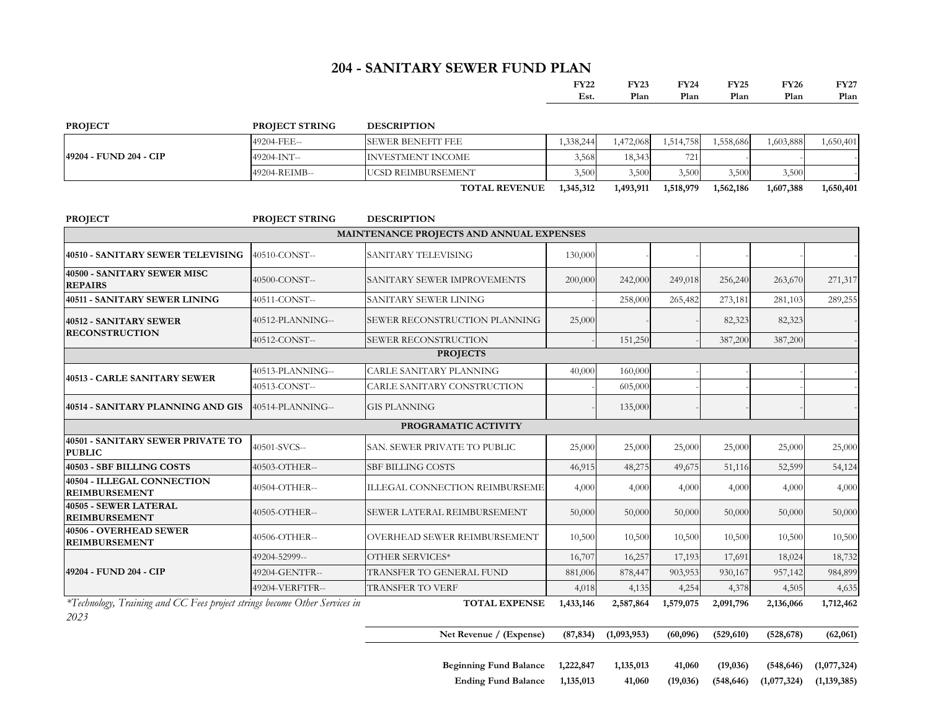## **204 - SANITARY SEWER FUND PLAN**

| ロマワウク | FY23 | FY24 | TY25 | TY26 | FV97    |
|-------|------|------|------|------|---------|
| Est.  | Plan | Plan | Plan | 'lan | $2$ lan |

**Ending Fund Balance 1,135,013 41,060 (19,036) (548,646) (1,077,324) (1,139,385)**

| <b>PROJECT</b>         | <b>PROJECT STRING</b> | <b>DESCRIPTION</b>        |           |           |           |           |           |           |
|------------------------|-----------------------|---------------------------|-----------|-----------|-----------|-----------|-----------|-----------|
| 49204 - FUND 204 - CIP | 49204-FEE--           | <b>SEWER BENEFIT FEE</b>  | 1,338,244 | 1,472,068 | .514,758  | .558,686  | 1,603,888 | 1,650,401 |
|                        | 49204-INT--           | INVESTMENT INCOME         | 3.568     | 18,343    | 7211      |           |           |           |
|                        | 49204-REIMB--         | <b>UCSD REIMBURSEMENT</b> | 3.500     | 3,500     | 3.500     | 3.500     | 3,500     |           |
|                        |                       | <b>TOTAL REVENUE</b>      | 1,345,312 | 1,493,911 | 1,518,979 | 1,562,186 | 1,607,388 | 1,650,401 |

| <b>PROJECT</b>                                                                     | <b>PROJECT STRING</b> | <b>DESCRIPTION</b>                                                      |           |             |           |            |            |             |
|------------------------------------------------------------------------------------|-----------------------|-------------------------------------------------------------------------|-----------|-------------|-----------|------------|------------|-------------|
|                                                                                    |                       | MAINTENANCE PROJECTS AND ANNUAL EXPENSES                                |           |             |           |            |            |             |
| 40510 - SANITARY SEWER TELEVISING                                                  | 40510-CONST--         | SANITARY TELEVISING                                                     | 130,000   |             |           |            |            |             |
| 40500 - SANITARY SEWER MISC<br><b>REPAIRS</b>                                      | 40500-CONST--         | 200,000<br>242,000<br>249,018<br>256,240<br>SANITARY SEWER IMPROVEMENTS |           |             |           |            | 263,670    | 271,317     |
| <b>40511 - SANITARY SEWER LINING</b>                                               | 40511-CONST--         | SANITARY SEWER LINING<br>265,482<br>258,000                             |           |             |           | 273,181    | 281,103    | 289,255     |
| 40512 - SANITARY SEWER<br><b>RECONSTRUCTION</b>                                    | 40512-PLANNING--      | SEWER RECONSTRUCTION PLANNING                                           | 25,000    |             |           | 82,323     | 82,323     |             |
|                                                                                    | 40512-CONST--         | SEWER RECONSTRUCTION                                                    |           | 151,250     |           | 387,200    | 387,200    |             |
|                                                                                    |                       | <b>PROJECTS</b>                                                         |           |             |           |            |            |             |
| 40513 - CARLE SANITARY SEWER                                                       | 40513-PLANNING--      | <b>CARLE SANITARY PLANNING</b>                                          | 40,000    | 160,000     |           |            |            |             |
|                                                                                    | 40513-CONST--         | CARLE SANITARY CONSTRUCTION                                             |           | 605,000     |           |            |            |             |
| 40514 - SANITARY PLANNING AND GIS                                                  | 40514-PLANNING--      | <b>GIS PLANNING</b>                                                     |           | 135,000     |           |            |            |             |
|                                                                                    |                       | PROGRAMATIC ACTIVITY                                                    |           |             |           |            |            |             |
| 40501 - SANITARY SEWER PRIVATE TO<br><b>PUBLIC</b>                                 | 40501-SVCS--          | SAN. SEWER PRIVATE TO PUBLIC                                            | 25,000    | 25,000      | 25,000    | 25,000     | 25,000     | 25,000      |
| 40503 - SBF BILLING COSTS                                                          | 40503-OTHER--         | <b>SBF BILLING COSTS</b>                                                |           | 48,275      | 49,675    | 51,116     | 52,599     | 54,124      |
| 40504 - ILLEGAL CONNECTION<br><b>REIMBURSEMENT</b>                                 | 40504-OTHER--         | ILLEGAL CONNECTION REIMBURSEME                                          | 4,000     | 4,000       | 4,000     | 4,000      | 4,000      | 4,000       |
| 40505 - SEWER LATERAL<br><b>REIMBURSEMENT</b>                                      | 40505-OTHER--         | SEWER LATERAL REIMBURSEMENT                                             | 50,000    | 50,000      | 50,000    | 50,000     | 50,000     | 50,000      |
| 40506 - OVERHEAD SEWER<br><b>REIMBURSEMENT</b>                                     | 40506-OTHER--         | OVERHEAD SEWER REIMBURSEMENT                                            | 10,500    | 10,500      | 10,500    | 10,500     | 10,500     | 10,500      |
| 49204 - FUND 204 - CIP                                                             | 49204-52999--         | OTHER SERVICES*                                                         | 16,707    | 16,257      | 17,193    | 17,691     | 18,024     | 18,732      |
|                                                                                    | 49204-GENTFR--        | TRANSFER TO GENERAL FUND                                                | 881,006   | 878,447     | 903,953   | 930,167    | 957,142    | 984,899     |
|                                                                                    | 49204-VERFTFR--       | <b>TRANSFER TO VERF</b>                                                 | 4,018     | 4,135       | 4,254     | 4,378      | 4,505      | 4,635       |
| *Technology, Training and CC Fees project strings become Other Services in<br>2023 |                       | TOTAL EXPENSE                                                           | 1,433,146 | 2,587,864   | 1,579,075 | 2,091,796  | 2,136,066  | 1,712,462   |
|                                                                                    |                       | Net Revenue / (Expense)                                                 | (87, 834) | (1,093,953) | (60,096)  | (529, 610) | (528, 678) | (62,061)    |
|                                                                                    |                       | Beginning Fund Balance 1,222,847                                        |           | 1,135,013   | 41,060    | (19,036)   | (548, 646) | (1,077,324) |